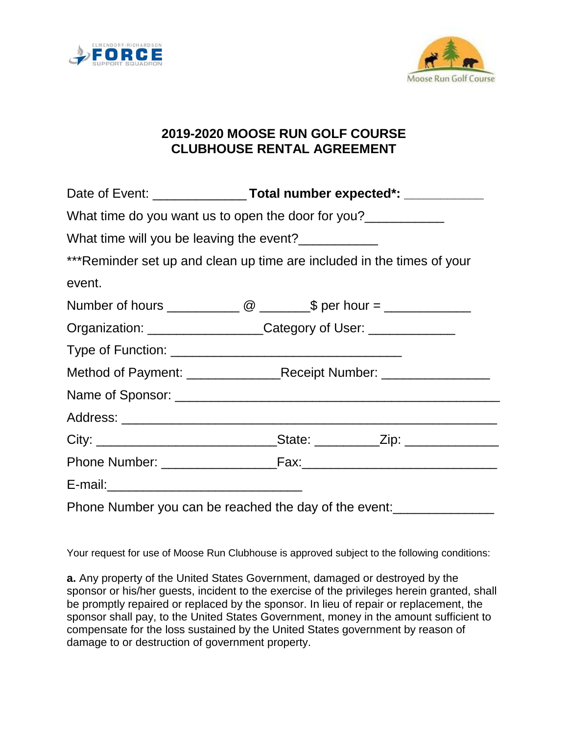



## **2019-2020 MOOSE RUN GOLF COURSE CLUBHOUSE RENTAL AGREEMENT**

| What time do you want us to open the door for you?                      |                                                                 |  |  |
|-------------------------------------------------------------------------|-----------------------------------------------------------------|--|--|
| What time will you be leaving the event?                                |                                                                 |  |  |
| *** Reminder set up and clean up time are included in the times of your |                                                                 |  |  |
| event.                                                                  |                                                                 |  |  |
|                                                                         |                                                                 |  |  |
|                                                                         | Organization: __________________Category of User: _____________ |  |  |
|                                                                         |                                                                 |  |  |
|                                                                         |                                                                 |  |  |
|                                                                         |                                                                 |  |  |
|                                                                         |                                                                 |  |  |
|                                                                         |                                                                 |  |  |
|                                                                         |                                                                 |  |  |
|                                                                         |                                                                 |  |  |
| Phone Number you can be reached the day of the event:                   |                                                                 |  |  |

Your request for use of Moose Run Clubhouse is approved subject to the following conditions:

**a.** Any property of the United States Government, damaged or destroyed by the sponsor or his/her guests, incident to the exercise of the privileges herein granted, shall be promptly repaired or replaced by the sponsor. In lieu of repair or replacement, the sponsor shall pay, to the United States Government, money in the amount sufficient to compensate for the loss sustained by the United States government by reason of damage to or destruction of government property.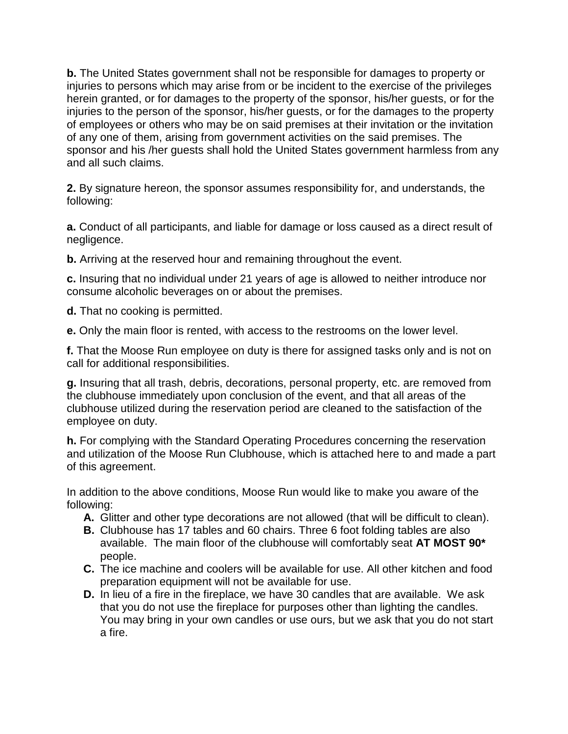**b.** The United States government shall not be responsible for damages to property or injuries to persons which may arise from or be incident to the exercise of the privileges herein granted, or for damages to the property of the sponsor, his/her guests, or for the injuries to the person of the sponsor, his/her guests, or for the damages to the property of employees or others who may be on said premises at their invitation or the invitation of any one of them, arising from government activities on the said premises. The sponsor and his /her guests shall hold the United States government harmless from any and all such claims.

**2.** By signature hereon, the sponsor assumes responsibility for, and understands, the following:

**a.** Conduct of all participants, and liable for damage or loss caused as a direct result of negligence.

**b.** Arriving at the reserved hour and remaining throughout the event.

**c.** Insuring that no individual under 21 years of age is allowed to neither introduce nor consume alcoholic beverages on or about the premises.

**d.** That no cooking is permitted.

**e.** Only the main floor is rented, with access to the restrooms on the lower level.

**f.** That the Moose Run employee on duty is there for assigned tasks only and is not on call for additional responsibilities.

**g.** Insuring that all trash, debris, decorations, personal property, etc. are removed from the clubhouse immediately upon conclusion of the event, and that all areas of the clubhouse utilized during the reservation period are cleaned to the satisfaction of the employee on duty.

**h.** For complying with the Standard Operating Procedures concerning the reservation and utilization of the Moose Run Clubhouse, which is attached here to and made a part of this agreement.

In addition to the above conditions, Moose Run would like to make you aware of the following:

- **A.** Glitter and other type decorations are not allowed (that will be difficult to clean).
- **B.** Clubhouse has 17 tables and 60 chairs. Three 6 foot folding tables are also available. The main floor of the clubhouse will comfortably seat **AT MOST 90\*** people.
- **C.** The ice machine and coolers will be available for use. All other kitchen and food preparation equipment will not be available for use.
- **D.** In lieu of a fire in the fireplace, we have 30 candles that are available. We ask that you do not use the fireplace for purposes other than lighting the candles. You may bring in your own candles or use ours, but we ask that you do not start a fire.